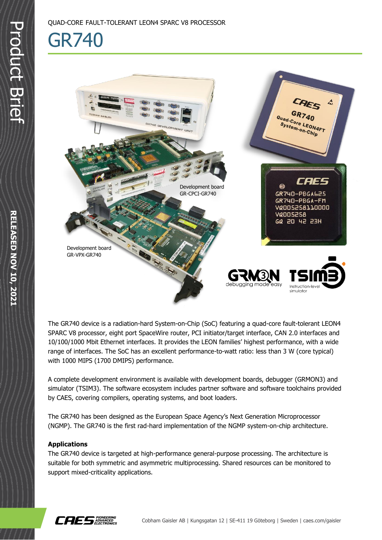## GR740



The GR740 device is a radiation-hard System-on-Chip (SoC) featuring a quad-core fault-tolerant LEON4 SPARC V8 processor, eight port SpaceWire router, PCI initiator/target interface, CAN 2.0 interfaces and 10/100/1000 Mbit Ethernet interfaces. It provides the LEON families' highest performance, with a wide range of interfaces. The SoC has an excellent performance-to-watt ratio: less than 3 W (core typical) with 1000 MIPS (1700 DMIPS) performance.

A complete development environment is available with development boards, debugger (GRMON3) and simulator (TSIM3). The software ecosystem includes partner software and software toolchains provided by CAES, covering compilers, operating systems, and boot loaders.

The GR740 has been designed as the European Space Agency's Next Generation Microprocessor (NGMP). The GR740 is the first rad-hard implementation of the NGMP system-on-chip architecture.

## **Applications**

The GR740 device is targeted at high-performance general-purpose processing. The architecture is suitable for both symmetric and asymmetric multiprocessing. Shared resources can be monitored to support mixed-criticality applications.